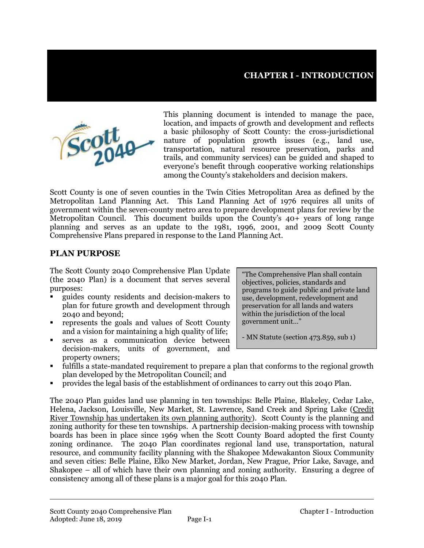

This planning document is intended to manage the pace, location, and impacts of growth and development and reflects a basic philosophy of Scott County: the cross-jurisdictional nature of population growth issues (e.g., land use, transportation, natural resource preservation, parks and trails, and community services) can be guided and shaped to everyone's benefit through cooperative working relationships among the County's stakeholders and decision makers.

Scott County is one of seven counties in the Twin Cities Metropolitan Area as defined by the Metropolitan Land Planning Act. This Land Planning Act of 1976 requires all units of government within the seven-county metro area to prepare development plans for review by the Metropolitan Council. This document builds upon the County's 40+ years of long range planning and serves as an update to the 1981, 1996, 2001, and 2009 Scott County Comprehensive Plans prepared in response to the Land Planning Act.

#### **PLAN PURPOSE**

The Scott County 2040 Comprehensive Plan Update (the 2040 Plan) is a document that serves several purposes:

- guides county residents and decision-makers to plan for future growth and development through 2040 and beyond;
- represents the goals and values of Scott County and a vision for maintaining a high quality of life;
- serves as a communication device between decision-makers, units of government, and property owners;

"The Comprehensive Plan shall contain objectives, policies, standards and programs to guide public and private land use, development, redevelopment and preservation for all lands and waters within the jurisdiction of the local government unit…"

- MN Statute (section 473.859, sub 1)

- fulfills a state-mandated requirement to prepare a plan that conforms to the regional growth plan developed by the Metropolitan Council; and
- provides the legal basis of the establishment of ordinances to carry out this 2040 Plan.

The 2040 Plan guides land use planning in ten townships: Belle Plaine, Blakeley, Cedar Lake, Helena, Jackson, Louisville, New Market, St. Lawrence, Sand Creek and Spring Lake (Credit River Township has undertaken its own planning authority). Scott County is the planning and zoning authority for these ten townships. A partnership decision-making process with township boards has been in place since 1969 when the Scott County Board adopted the first County zoning ordinance. The 2040 Plan coordinates regional land use, transportation, natural resource, and community facility planning with the Shakopee Mdewakanton Sioux Community and seven cities: Belle Plaine, Elko New Market, Jordan, New Prague, Prior Lake, Savage, and Shakopee – all of which have their own planning and zoning authority. Ensuring a degree of consistency among all of these plans is a major goal for this 2040 Plan.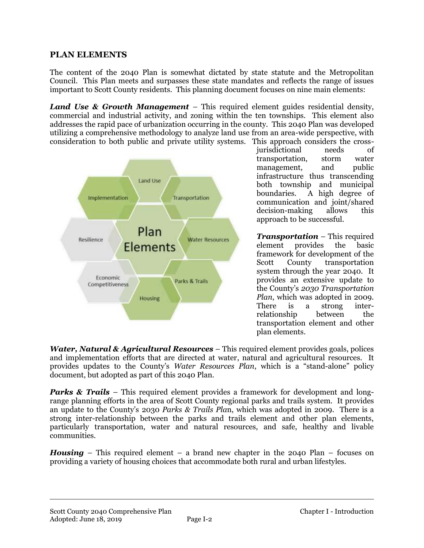#### **PLAN ELEMENTS**

The content of the 2040 Plan is somewhat dictated by state statute and the Metropolitan Council. This Plan meets and surpasses these state mandates and reflects the range of issues important to Scott County residents. This planning document focuses on nine main elements:

*Land Use & Growth Management* – This required element guides residential density, commercial and industrial activity, and zoning within the ten townships. This element also addresses the rapid pace of urbanization occurring in the county. This 2040 Plan was developed utilizing a comprehensive methodology to analyze land use from an area-wide perspective, with consideration to both public and private utility systems. This approach considers the cross-



jurisdictional needs of transportation, storm water management, and public infrastructure thus transcending both township and municipal boundaries. A high degree of communication and joint/shared decision-making allows this approach to be successful.

*Transportation* – This required element provides the basic framework for development of the Scott County transportation system through the year 2040. It provides an extensive update to the County's *2030 Transportation Plan*, which was adopted in 2009. There is a strong interrelationship between the transportation element and other plan elements.

*Water, Natural & Agricultural Resources* – This required element provides goals, polices and implementation efforts that are directed at water, natural and agricultural resources. It provides updates to the County's *Water Resources Plan*, which is a "stand-alone" policy document, but adopted as part of this 2040 Plan.

*Parks & Trails* – This required element provides a framework for development and longrange planning efforts in the area of Scott County regional parks and trails system. It provides an update to the County's 2030 *Parks & Trails Pla*n, which was adopted in 2009. There is a strong inter-relationship between the parks and trails element and other plan elements, particularly transportation, water and natural resources, and safe, healthy and livable communities.

*Housing* – This required element – a brand new chapter in the 2040 Plan – focuses on providing a variety of housing choices that accommodate both rural and urban lifestyles.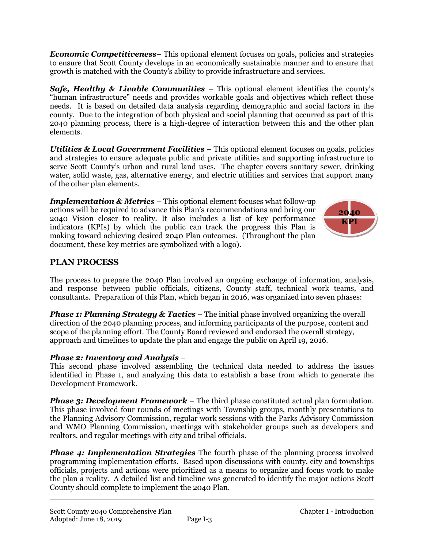*Economic Competitiveness*– This optional element focuses on goals, policies and strategies to ensure that Scott County develops in an economically sustainable manner and to ensure that growth is matched with the County's ability to provide infrastructure and services.

*Safe, Healthy & Livable Communities* – This optional element identifies the county's "human infrastructure" needs and provides workable goals and objectives which reflect those needs. It is based on detailed data analysis regarding demographic and social factors in the county. Due to the integration of both physical and social planning that occurred as part of this 2040 planning process, there is a high-degree of interaction between this and the other plan elements.

*Utilities & Local Government Facilities* – This optional element focuses on goals, policies and strategies to ensure adequate public and private utilities and supporting infrastructure to serve Scott County's urban and rural land uses. The chapter covers sanitary sewer, drinking water, solid waste, gas, alternative energy, and electric utilities and services that support many of the other plan elements.

*Implementation & Metrics* – This optional element focuses what follow-up actions will be required to advance this Plan's recommendations and bring our 2040 Vision closer to reality. It also includes a list of key performance indicators (KPIs) by which the public can track the progress this Plan is making toward achieving desired 2040 Plan outcomes. (Throughout the plan document, these key metrics are symbolized with a logo).



## **PLAN PROCESS**

The process to prepare the 2040 Plan involved an ongoing exchange of information, analysis, and response between public officials, citizens, County staff, technical work teams, and consultants. Preparation of this Plan, which began in 2016, was organized into seven phases:

*Phase 1: Planning Strategy & Tactics* – The initial phase involved organizing the overall direction of the 2040 planning process, and informing participants of the purpose, content and scope of the planning effort. The County Board reviewed and endorsed the overall strategy, approach and timelines to update the plan and engage the public on April 19, 2016.

#### *Phase 2: Inventory and Analysis* –

This second phase involved assembling the technical data needed to address the issues identified in Phase 1, and analyzing this data to establish a base from which to generate the Development Framework.

*Phase 3: Development Framework* – The third phase constituted actual plan formulation. This phase involved four rounds of meetings with Township groups, monthly presentations to the Planning Advisory Commission, regular work sessions with the Parks Advisory Commission and WMO Planning Commission, meetings with stakeholder groups such as developers and realtors, and regular meetings with city and tribal officials.

*Phase 4: Implementation Strategies* The fourth phase of the planning process involved programming implementation efforts. Based upon discussions with county, city and townships officials, projects and actions were prioritized as a means to organize and focus work to make the plan a reality. A detailed list and timeline was generated to identify the major actions Scott County should complete to implement the 2040 Plan.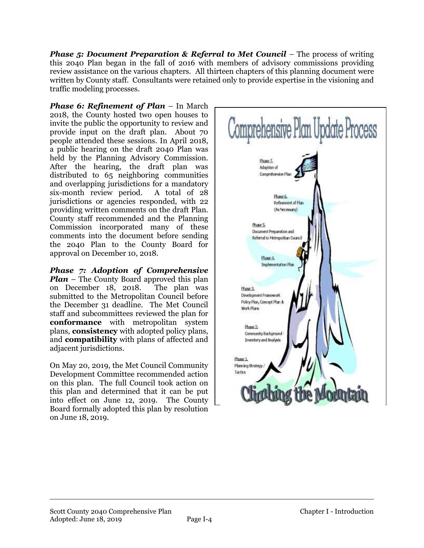*Phase 5: Document Preparation & Referral to Met Council* – The process of writing this 2040 Plan began in the fall of 2016 with members of advisory commissions providing review assistance on the various chapters. All thirteen chapters of this planning document were written by County staff. Consultants were retained only to provide expertise in the visioning and traffic modeling processes.

*Phase 6: Refinement of Plan* – In March 2018, the County hosted two open houses to invite the public the opportunity to review and provide input on the draft plan. About 70 people attended these sessions. In April 2018, a public hearing on the draft 2040 Plan was held by the Planning Advisory Commission. After the hearing, the draft plan was distributed to 65 neighboring communities and overlapping jurisdictions for a mandatory six-month review period. A total of 28 jurisdictions or agencies responded, with 22 providing written comments on the draft Plan. County staff recommended and the Planning Commission incorporated many of these comments into the document before sending the 2040 Plan to the County Board for approval on December 10, 2018.

*Phase 7: Adoption of Comprehensive Plan* – The County Board approved this plan on December 18, 2018. The plan was submitted to the Metropolitan Council before the December 31 deadline. The Met Council staff and subcommittees reviewed the plan for **conformance** with metropolitan system plans, **consistency** with adopted policy plans, and **compatibility** with plans of affected and adjacent jurisdictions.

On May 20, 2019, the Met Council Community Development Committee recommended action on this plan. The full Council took action on this plan and determined that it can be put into effect on June 12, 2019. The County Board formally adopted this plan by resolution on June 18, 2019.

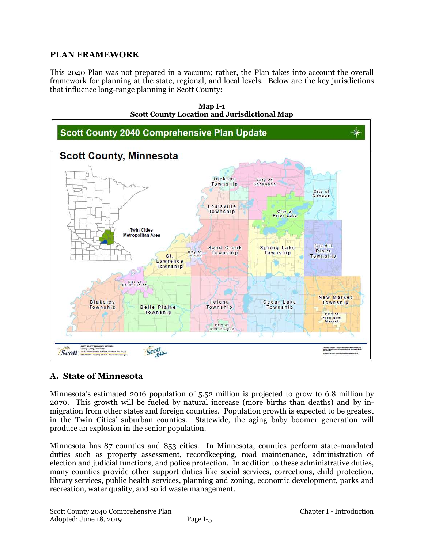#### **PLAN FRAMEWORK**

This 2040 Plan was not prepared in a vacuum; rather, the Plan takes into account the overall framework for planning at the state, regional, and local levels. Below are the key jurisdictions that influence long-range planning in Scott County:



#### **Map I-1 Scott County Location and Jurisdictional Map**

## **A. State of Minnesota**

Minnesota's estimated 2016 population of 5.52 million is projected to grow to 6.8 million by 2070. This growth will be fueled by natural increase (more births than deaths) and by inmigration from other states and foreign countries. Population growth is expected to be greatest in the Twin Cities' suburban counties. Statewide, the aging baby boomer generation will produce an explosion in the senior population.

Minnesota has 87 counties and 853 cities. In Minnesota, counties perform state-mandated duties such as property assessment, recordkeeping, road maintenance, administration of election and judicial functions, and police protection. In addition to these administrative duties, many counties provide other support duties like social services, corrections, child protection, library services, public health services, planning and zoning, economic development, parks and recreation, water quality, and solid waste management.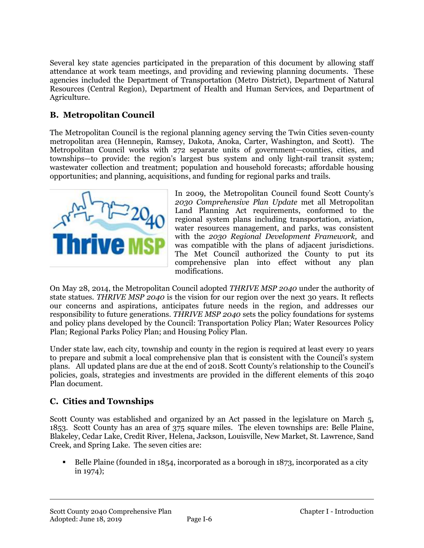Several key state agencies participated in the preparation of this document by allowing staff attendance at work team meetings, and providing and reviewing planning documents. These agencies included the Department of Transportation (Metro District), Department of Natural Resources (Central Region), Department of Health and Human Services, and Department of Agriculture.

## **B. Metropolitan Council**

The Metropolitan Council is the regional planning agency serving the Twin Cities seven-county metropolitan area (Hennepin, Ramsey, Dakota, Anoka, Carter, Washington, and Scott). The Metropolitan Council works with 272 separate units of government—counties, cities, and townships—to provide: the region's largest bus system and only light-rail transit system; wastewater collection and treatment; population and household forecasts; affordable housing opportunities; and planning, acquisitions, and funding for regional parks and trails.



In 2009, the Metropolitan Council found Scott County's *2030 Comprehensive Plan Update* met all Metropolitan Land Planning Act requirements, conformed to the regional system plans including transportation, aviation, water resources management, and parks, was consistent with the *2030 Regional Development Framework,* and was compatible with the plans of adjacent jurisdictions. The Met Council authorized the County to put its comprehensive plan into effect without any plan modifications.

On May 28, 2014, the Metropolitan Council adopted *THRIVE MSP 2040* under the authority of state statues. *THRIVE MSP 2040* is the vision for our region over the next 30 years. It reflects our concerns and aspirations, anticipates future needs in the region, and addresses our responsibility to future generations. *THRIVE MSP 2040* sets the policy foundations for systems and policy plans developed by the Council: Transportation Policy Plan; Water Resources Policy Plan; Regional Parks Policy Plan; and Housing Policy Plan.

Under state law, each city, township and county in the region is required at least every 10 years to prepare and submit a local comprehensive plan that is consistent with the Council's system plans. All updated plans are due at the end of 2018. Scott County's relationship to the Council's policies, goals, strategies and investments are provided in the different elements of this 2040 Plan document.

## **C. Cities and Townships**

Scott County was established and organized by an Act passed in the legislature on March 5, 1853. Scott County has an area of 375 square miles. The eleven townships are: Belle Plaine, Blakeley, Cedar Lake, Credit River, Helena, Jackson, Louisville, New Market, St. Lawrence, Sand Creek, and Spring Lake. The seven cities are:

 Belle Plaine (founded in 1854, incorporated as a borough in 1873, incorporated as a city in 1974);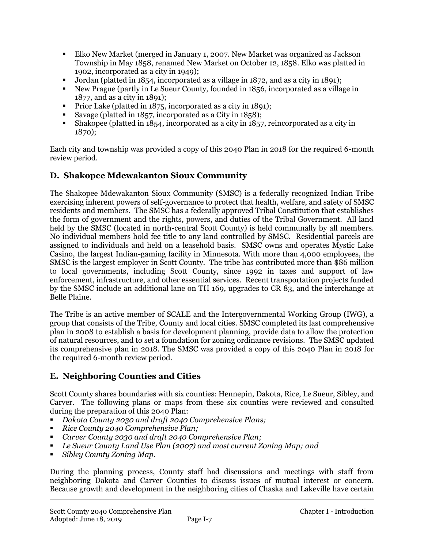- Elko New Market (merged in January 1, 2007. New Market was organized as Jackson Township in May 1858, renamed New Market on October 12, 1858. Elko was platted in 1902, incorporated as a city in 1949);
- Jordan (platted in 1854, incorporated as a village in 1872, and as a city in 1891);
- New Prague (partly in Le Sueur County, founded in 1856, incorporated as a village in 1877, and as a city in 1891);
- Prior Lake (platted in 1875, incorporated as a city in 1891);
- Savage (platted in 1857, incorporated as a City in 1858);
- Shakopee (platted in 1854, incorporated as a city in 1857, reincorporated as a city in 1870);

Each city and township was provided a copy of this 2040 Plan in 2018 for the required 6-month review period.

## **D. Shakopee Mdewakanton Sioux Community**

The Shakopee Mdewakanton Sioux Community (SMSC) is a federally recognized Indian Tribe exercising inherent powers of self-governance to protect that health, welfare, and safety of SMSC residents and members. The SMSC has a federally approved Tribal Constitution that establishes the form of government and the rights, powers, and duties of the Tribal Government. All land held by the SMSC (located in north-central Scott County) is held communally by all members. No individual members hold fee title to any land controlled by SMSC. Residential parcels are assigned to individuals and held on a leasehold basis. SMSC owns and operates Mystic Lake Casino, the largest Indian-gaming facility in Minnesota. With more than 4,000 employees, the SMSC is the largest employer in Scott County. The tribe has contributed more than \$86 million to local governments, including Scott County, since 1992 in taxes and support of law enforcement, infrastructure, and other essential services. Recent transportation projects funded by the SMSC include an additional lane on TH 169, upgrades to CR 83, and the interchange at Belle Plaine.

The Tribe is an active member of SCALE and the Intergovernmental Working Group (IWG), a group that consists of the Tribe, County and local cities. SMSC completed its last comprehensive plan in 2008 to establish a basis for development planning, provide data to allow the protection of natural resources, and to set a foundation for zoning ordinance revisions. The SMSC updated its comprehensive plan in 2018. The SMSC was provided a copy of this 2040 Plan in 2018 for the required 6-month review period.

# **E. Neighboring Counties and Cities**

Scott County shares boundaries with six counties: Hennepin, Dakota, Rice, Le Sueur, Sibley, and Carver. The following plans or maps from these six counties were reviewed and consulted during the preparation of this 2040 Plan:

- *Dakota County 2030 and draft 2040 Comprehensive Plans;*
- *Rice County 2040 Comprehensive Plan;*
- *Carver County 2030 and draft 2040 Comprehensive Plan;*
- *Le Sueur County Land Use Plan (2007) and most current Zoning Map; and*
- *Sibley County Zoning Map.*

During the planning process, County staff had discussions and meetings with staff from neighboring Dakota and Carver Counties to discuss issues of mutual interest or concern. Because growth and development in the neighboring cities of Chaska and Lakeville have certain